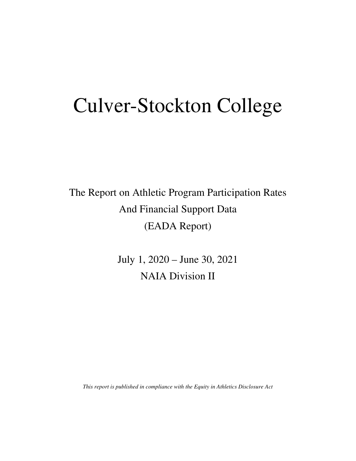# Culver-Stockton College

The Report on Athletic Program Participation Rates And Financial Support Data (EADA Report)

> July 1, 2020 – June 30, 2021 NAIA Division II

*This report is published in compliance with the Equity in Athletics Disclosure Act*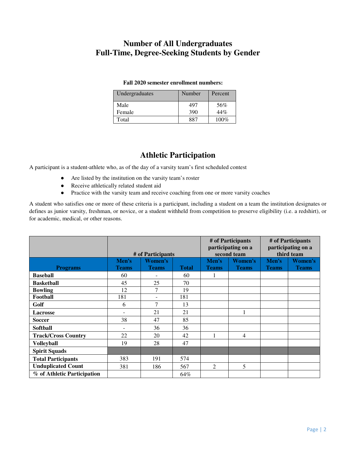#### **Number of All Undergraduates Full-Time, Degree-Seeking Students by Gender**

#### **Fall 2020 semester enrollment numbers:**

| Undergraduates | Number | Percent |
|----------------|--------|---------|
| Male           | 497    | 56%     |
| Female         | 390    | 44%     |
| Total          | 887    | $100\%$ |

#### **Athletic Participation**

A participant is a student-athlete who, as of the day of a varsity team's first scheduled contest

- Are listed by the institution on the varsity team's roster
- Receive athletically related student aid
- Practice with the varsity team and receive coaching from one or more varsity coaches

A student who satisfies one or more of these criteria is a participant, including a student on a team the institution designates or defines as junior varsity, freshman, or novice, or a student withheld from competition to preserve eligibility (i.e. a redshirt), or for academic, medical, or other reasons.

|                             |                          | # of Participants        |              |              | # of Participants<br>participating on a<br>second team | # of Participants<br>participating on a<br>third team |                |  |
|-----------------------------|--------------------------|--------------------------|--------------|--------------|--------------------------------------------------------|-------------------------------------------------------|----------------|--|
|                             | Men's                    | <b>Women's</b>           |              | Men's        | <b>Women's</b>                                         | Men's                                                 | <b>Women's</b> |  |
| <b>Programs</b>             | <b>Teams</b>             | <b>Teams</b>             | <b>Total</b> | <b>Teams</b> | <b>Teams</b>                                           | <b>Teams</b>                                          | <b>Teams</b>   |  |
| <b>Baseball</b>             | 60                       |                          | 60           | 1            |                                                        |                                                       |                |  |
| <b>Basketball</b>           | 45                       | 25                       | 70           |              |                                                        |                                                       |                |  |
| <b>Bowling</b>              | 12                       | 7                        | 19           |              |                                                        |                                                       |                |  |
| Football                    | 181                      | $\overline{\phantom{a}}$ | 181          |              |                                                        |                                                       |                |  |
| Golf                        | 6                        | 7                        | 13           |              |                                                        |                                                       |                |  |
| <b>Lacrosse</b>             | $\overline{\phantom{0}}$ | 21                       | 21           |              |                                                        |                                                       |                |  |
| <b>Soccer</b>               | 38                       | 47                       | 85           |              |                                                        |                                                       |                |  |
| <b>Softball</b>             | $\overline{\phantom{a}}$ | 36                       | 36           |              |                                                        |                                                       |                |  |
| <b>Track/Cross Country</b>  | 22                       | 20                       | 42           |              | 4                                                      |                                                       |                |  |
| <b>Volleyball</b>           | 19                       | 28                       | 47           |              |                                                        |                                                       |                |  |
| <b>Spirit Squads</b>        |                          |                          |              |              |                                                        |                                                       |                |  |
| <b>Total Participants</b>   | 383                      | 191                      | 574          |              |                                                        |                                                       |                |  |
| <b>Unduplicated Count</b>   | 381                      | 186                      | 567          | 2            | 5                                                      |                                                       |                |  |
| % of Athletic Participation |                          |                          | 64%          |              |                                                        |                                                       |                |  |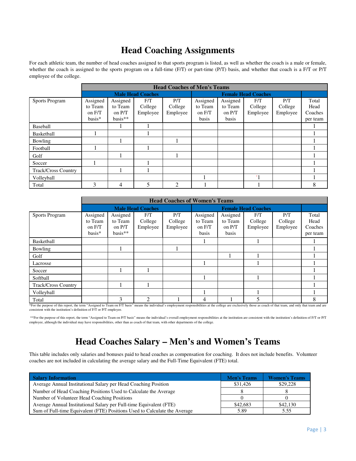#### **Head Coaching Assignments**

For each athletic team, the number of head coaches assigned to that sports program is listed, as well as whether the coach is a male or female, whether the coach is assigned to the sports program on a full-time (F/T) or part-time (P/T) basis, and whether that coach is a F/T or P/T employee of the college.

|                            |          | <b>Head Coaches of Men's Teams</b> |                          |                |                            |          |          |          |          |  |
|----------------------------|----------|------------------------------------|--------------------------|----------------|----------------------------|----------|----------|----------|----------|--|
|                            |          |                                    | <b>Male Head Coaches</b> |                | <b>Female Head Coaches</b> |          |          |          |          |  |
| <b>Sports Program</b>      | Assigned | Assigned                           | F/T                      | P/T            | Assigned                   | Assigned | F/T      | P/T      | Total    |  |
|                            | to Team  | to Team                            | College                  | College        | to Team                    | to Team  | College  | College  | Head     |  |
|                            | on F/T   | on P/T                             | Employee                 | Employee       | on F/T                     | on $P/T$ | Employee | Employee | Coaches  |  |
|                            | basis*   | $basis**$                          |                          |                | basis                      | basis    |          |          | per team |  |
| Baseball                   |          |                                    |                          |                |                            |          |          |          |          |  |
| Basketball                 |          |                                    |                          |                |                            |          |          |          |          |  |
| Bowling                    |          |                                    |                          |                |                            |          |          |          |          |  |
| Football                   |          |                                    |                          |                |                            |          |          |          |          |  |
| Golf                       |          |                                    |                          |                |                            |          |          |          |          |  |
| Soccer                     |          |                                    |                          |                |                            |          |          |          |          |  |
| <b>Track/Cross Country</b> |          |                                    |                          |                |                            |          |          |          |          |  |
| Volleyball                 |          |                                    |                          |                |                            |          | $*1$     |          |          |  |
| Total                      | 3        | 4                                  | 5                        | $\overline{c}$ |                            |          |          |          | 8        |  |

|                               |                      | <b>Head Coaches of Women's Teams</b>     |                          |          |                            |              |          |                         |          |  |
|-------------------------------|----------------------|------------------------------------------|--------------------------|----------|----------------------------|--------------|----------|-------------------------|----------|--|
|                               |                      |                                          | <b>Male Head Coaches</b> |          | <b>Female Head Coaches</b> |              |          |                         |          |  |
| <b>Sports Program</b>         | Assigned             | Assigned                                 | F/T                      | P/T      | Assigned                   | Assigned     | F/T      | P/T                     | Total    |  |
|                               | to Team              | to Team                                  | College                  | College  | to Team                    | to Team      | College  | College                 | Head     |  |
|                               | on F/T               | on P/T                                   | Employee                 | Employee | on F/T                     | on $P/T$     | Employee | Employee                | Coaches  |  |
|                               | basis*               | $basis**$                                |                          |          | basis                      | basis        |          |                         | per team |  |
| Basketball                    |                      |                                          |                          |          |                            |              |          |                         |          |  |
| Bowling                       |                      |                                          |                          |          |                            |              |          |                         |          |  |
| Golf                          |                      |                                          |                          |          |                            |              |          |                         |          |  |
| Lacrosse                      |                      |                                          |                          |          |                            |              |          |                         |          |  |
| Soccer                        |                      |                                          |                          |          |                            |              |          |                         |          |  |
| Softball                      |                      |                                          |                          |          |                            |              |          |                         |          |  |
| <b>Track/Cross Country</b>    |                      |                                          |                          |          |                            |              |          |                         |          |  |
| Volleyball                    |                      |                                          |                          |          |                            |              |          |                         |          |  |
| Total<br>$\sim$ $\sim$ $\sim$ | $\sim$ $\sim$ $\sim$ | 3<br><b><i><u>Property</u></i> 1 1 1</b> | $\mathcal{D}$            |          | 4<br><b>CALL CALL CO.</b>  | $\mathbf{v}$ | .<br>.   | $\cdot$ $\cdot$ $\cdot$ | 8        |  |

\*For the purpose of this report, the term "Assigned to Team on F/T basis" means the individual's employment responsibilities at the college are exclusively those as coach of that team, and only that team and are consistent with the institution's definition of F/T or P/T employee.

\*\*For the purpose of this report, the term "Assigned to Team on P/T basis" means the individual's overall employment responsibilities at the institution are consistent with the institution's definition of F/T or P/T employee, although the individual may have responsibilities, other than as coach of that team, with other departments of the college.

## **Head Coaches Salary – Men's and Women's Teams**

This table includes only salaries and bonuses paid to head coaches as compensation for coaching. It does not include benefits. Volunteer coaches are not included in calculating the average salary and the Full-Time Equivalent (FTE) total.

| <b>Salary Information</b>                                                 | <b>Men's Teams</b> | <b>Women's Teams</b> |
|---------------------------------------------------------------------------|--------------------|----------------------|
| Average Annual Institutional Salary per Head Coaching Position            | \$31,426           | \$29,228             |
| Number of Head Coaching Positions Used to Calculate the Average           |                    |                      |
| Number of Volunteer Head Coaching Positions                               |                    |                      |
| Average Annual Institutional Salary per Full-time Equivalent (FTE)        | \$42,683           | \$42,130             |
| Sum of Full-time Equivalent (FTE) Positions Used to Calculate the Average | 5.89               | 5.55                 |
|                                                                           |                    |                      |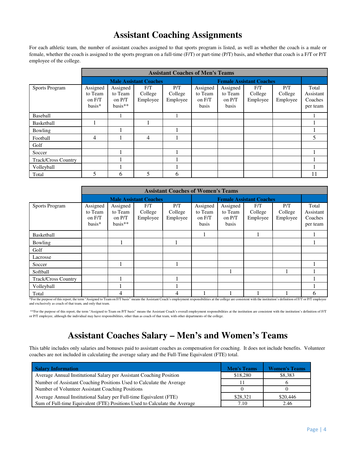#### **Assistant Coaching Assignments**

For each athletic team, the number of assistant coaches assigned to that sports program is listed, as well as whether the coach is a male or female, whether the coach is assigned to the sports program on a full-time (F/T) or part-time (P/T) basis, and whether that coach is a F/T or P/T employee of the college.

|                       |                                         | <b>Assistant Coaches of Men's Teams</b>    |                               |                            |                                        |                                          |                            |                            |                                           |  |
|-----------------------|-----------------------------------------|--------------------------------------------|-------------------------------|----------------------------|----------------------------------------|------------------------------------------|----------------------------|----------------------------|-------------------------------------------|--|
|                       |                                         |                                            | <b>Male Assistant Coaches</b> |                            | <b>Female Assistant Coaches</b>        |                                          |                            |                            |                                           |  |
| <b>Sports Program</b> | Assigned<br>to Team<br>on F/T<br>basis* | Assigned<br>to Team<br>on P/T<br>$basis**$ | F/T<br>College<br>Employee    | P/T<br>College<br>Employee | Assigned<br>to Team<br>on F/T<br>basis | Assigned<br>to Team<br>on $P/T$<br>basis | F/T<br>College<br>Employee | P/T<br>College<br>Employee | Total<br>Assistant<br>Coaches<br>per team |  |
| Baseball              |                                         |                                            |                               |                            |                                        |                                          |                            |                            |                                           |  |
| Basketball            |                                         |                                            |                               |                            |                                        |                                          |                            |                            |                                           |  |
| Bowling               |                                         |                                            |                               |                            |                                        |                                          |                            |                            |                                           |  |
| Football              | 4                                       |                                            | 4                             |                            |                                        |                                          |                            |                            | 5                                         |  |
| Golf                  |                                         |                                            |                               |                            |                                        |                                          |                            |                            |                                           |  |
| Soccer                |                                         |                                            |                               |                            |                                        |                                          |                            |                            |                                           |  |
| Track/Cross Country   |                                         |                                            |                               |                            |                                        |                                          |                            |                            |                                           |  |
| Volleyball            |                                         |                                            |                               |                            |                                        |                                          |                            |                            |                                           |  |
| Total                 | 5                                       | 6                                          | 5                             | 6                          |                                        |                                          |                            |                            | 11                                        |  |

|                     | <b>Assistant Coaches of Women's Teams</b> |                                              |                            |                            |                                        |                                          |                            |                            |                                           |
|---------------------|-------------------------------------------|----------------------------------------------|----------------------------|----------------------------|----------------------------------------|------------------------------------------|----------------------------|----------------------------|-------------------------------------------|
|                     | <b>Male Assistant Coaches</b>             |                                              |                            |                            |                                        | <b>Female Assistant Coaches</b>          |                            |                            |                                           |
| Sports Program      | Assigned<br>to Team<br>on F/T<br>$basis*$ | Assigned<br>to Team<br>on $P/T$<br>$basis**$ | F/T<br>College<br>Employee | P/T<br>College<br>Employee | Assigned<br>to Team<br>on F/T<br>basis | Assigned<br>to Team<br>on $P/T$<br>basis | F/T<br>College<br>Employee | P/T<br>College<br>Employee | Total<br>Assistant<br>Coaches<br>per team |
| Basketball          |                                           |                                              |                            |                            |                                        |                                          |                            |                            |                                           |
| Bowling             |                                           |                                              |                            |                            |                                        |                                          |                            |                            |                                           |
| Golf                |                                           |                                              |                            |                            |                                        |                                          |                            |                            |                                           |
| Lacrosse            |                                           |                                              |                            |                            |                                        |                                          |                            |                            |                                           |
| Soccer              |                                           |                                              |                            |                            |                                        |                                          |                            |                            |                                           |
| Softball            |                                           |                                              |                            |                            |                                        |                                          |                            |                            |                                           |
| Track/Cross Country |                                           |                                              |                            |                            |                                        |                                          |                            |                            |                                           |
| Volleyball          |                                           |                                              |                            |                            |                                        |                                          |                            |                            |                                           |
| Total               |                                           | 4                                            |                            | 4                          |                                        |                                          |                            |                            | 6                                         |

\*For the purpose of this report, the term "Assigned to Team on F/T basis" means the Assistant Coach's employment responsibilities at the college are consistent with the institution's definition of F/T or P/T employee and exclusively as coach of that team, and only that team.

 \*\*For the purpose of this report, the term "Assigned to Team on P/T basis" means the Assistant Coach's overall employment responsibilities at the institution are consistent with the institution's definition of F/T or P/T employee, although the individual may have responsibilities, other than as coach of that team, with other departments of the college.

# **Assistant Coaches Salary – Men's and Women's Teams**

This table includes only salaries and bonuses paid to assistant coaches as compensation for coaching. It does not include benefits. Volunteer coaches are not included in calculating the average salary and the Full-Time Equivalent (FTE) total.

| <b>Salary Information</b>                                                 | <b>Men's Teams</b> | <b>Women's Teams</b> |
|---------------------------------------------------------------------------|--------------------|----------------------|
| Average Annual Institutional Salary per Assistant Coaching Position       | \$18,280           | \$8,383              |
| Number of Assistant Coaching Positions Used to Calculate the Average      | 11                 |                      |
| Number of Volunteer Assistant Coaching Positions                          |                    |                      |
| Average Annual Institutional Salary per Full-time Equivalent (FTE)        | \$28,321           | \$20,446             |
| Sum of Full-time Equivalent (FTE) Positions Used to Calculate the Average | 7.10               | 2.46                 |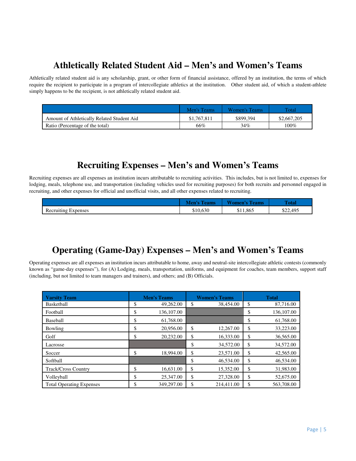# **Athletically Related Student Aid – Men's and Women's Teams**

Athletically related student aid is any scholarship, grant, or other form of financial assistance, offered by an institution, the terms of which require the recipient to participate in a program of intercollegiate athletics at the institution. Other student aid, of which a student-athlete simply happens to be the recipient, is not athletically related student aid.

|                                            | Men's Teams | Women's Teams | Total       |
|--------------------------------------------|-------------|---------------|-------------|
| Amount of Athletically Related Student Aid | \$1,767,811 | \$899,394     | \$2,667,205 |
| Ratio (Percentage of the total)            | 66%         | 34%           | 100%        |

#### **Recruiting Expenses – Men's and Women's Teams**

Recruiting expenses are all expenses an institution incurs attributable to recruiting activities. This includes, but is not limited to, expenses for lodging, meals, telephone use, and transportation (including vehicles used for recruiting purposes) for both recruits and personnel engaged in recruiting, and other expenses for official and unofficial visits, and all other expenses related to recruiting.

|                                     | eams     | T T<br><b>l'eams</b> | <b>Total</b> |
|-------------------------------------|----------|----------------------|--------------|
| $\mathbf{r}$<br>Recruiting Expenses | \$10.630 | \$11,865             | \$22,495     |

## **Operating (Game-Day) Expenses – Men's and Women's Teams**

Operating expenses are all expenses an institution incurs attributable to home, away and neutral-site intercollegiate athletic contests (commonly known as "game-day expenses"), for (A) Lodging, meals, transportation, uniforms, and equipment for coaches, team members, support staff (including, but not limited to team managers and trainers), and others; and (B) Officials.

| <b>Varsity Team</b>             | <b>Men's Teams</b> |            |    | <b>Women's Teams</b> | <b>Total</b> |            |  |
|---------------------------------|--------------------|------------|----|----------------------|--------------|------------|--|
| Basketball                      | \$                 | 49,262.00  | \$ | 38,454.00            | \$           | 87,716.00  |  |
| Football                        | \$                 | 136,107.00 |    |                      | \$           | 136,107.00 |  |
| Baseball                        | \$                 | 61.768.00  |    |                      | \$           | 61,768.00  |  |
| Bowling                         | ሖ<br>Φ             | 20.956.00  | \$ | 12,267.00            | \$           | 33,223.00  |  |
| Golf                            | ሖ<br>P             | 20.232.00  | \$ | 16,333.00            | \$           | 36,565.00  |  |
| Lacrosse                        |                    |            | \$ | 34,572.00            | \$           | 34,572.00  |  |
| Soccer                          | \$                 | 18,994.00  | \$ | 23,571.00            | \$           | 42,565.00  |  |
| Softball                        |                    |            | \$ | 46,534.00            | \$           | 46,534.00  |  |
| <b>Track/Cross Country</b>      | \$                 | 16,631.00  | \$ | 15,352.00            | \$           | 31,983.00  |  |
| Volleyball                      | Φ<br>J             | 25,347.00  | \$ | 27,328.00            | \$           | 52,675.00  |  |
| <b>Total Operating Expenses</b> | \$                 | 349,297.00 | \$ | 214,411.00           | \$           | 563,708.00 |  |